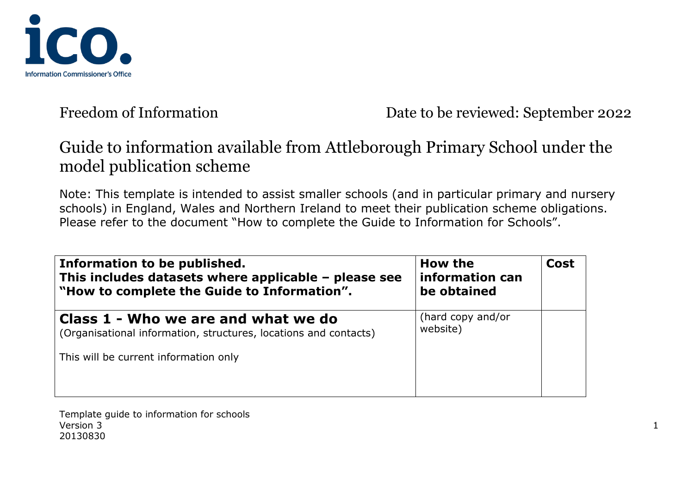

# Guide to information available from Attleborough Primary School under the model publication scheme

Note: This template is intended to assist smaller schools (and in particular primary and nursery schools) in England, Wales and Northern Ireland to meet their publication scheme obligations. Please refer to the document "How to complete the Guide to Information for Schools".

| Information to be published.<br>This includes datasets where applicable - please see<br>"How to complete the Guide to Information". | How the<br>information can<br>be obtained | <b>Cost</b> |
|-------------------------------------------------------------------------------------------------------------------------------------|-------------------------------------------|-------------|
| Class 1 - Who we are and what we do<br>(Organisational information, structures, locations and contacts)                             | (hard copy and/or<br>website)             |             |
| This will be current information only                                                                                               |                                           |             |
|                                                                                                                                     |                                           |             |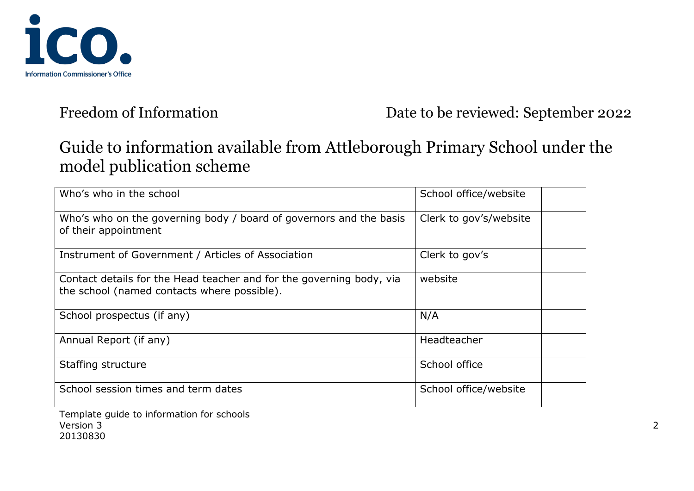

# Guide to information available from Attleborough Primary School under the model publication scheme

| Who's who in the school                                                                                                                    | School office/website  |
|--------------------------------------------------------------------------------------------------------------------------------------------|------------------------|
| Who's who on the governing body / board of governors and the basis<br>of their appointment                                                 | Clerk to gov's/website |
| Instrument of Government / Articles of Association                                                                                         | Clerk to gov's         |
| Contact details for the Head teacher and for the governing body, via<br>the school (named contacts where possible).                        | website                |
| School prospectus (if any)                                                                                                                 | N/A                    |
| Annual Report (if any)                                                                                                                     | Headteacher            |
| Staffing structure                                                                                                                         | School office          |
| School session times and term dates                                                                                                        | School office/website  |
| $\boldsymbol{\tau}$ , and the contribution of the $\boldsymbol{\ell}$ , and the first point of the contribution of the $\boldsymbol{\ell}$ |                        |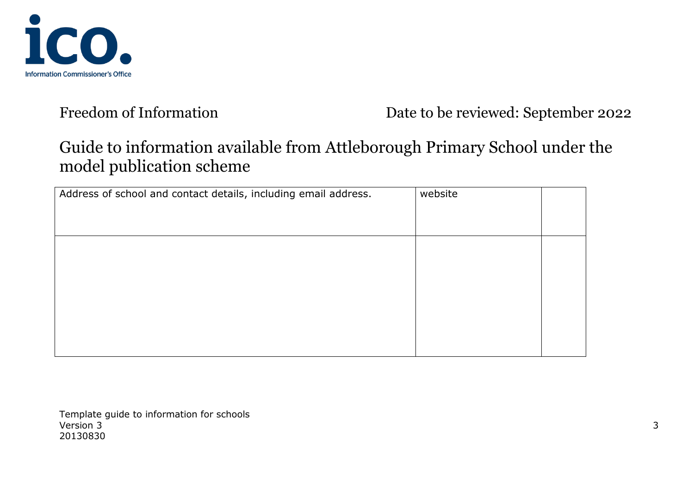

# Guide to information available from Attleborough Primary School under the model publication scheme

| Address of school and contact details, including email address. | website |  |
|-----------------------------------------------------------------|---------|--|
|                                                                 |         |  |
|                                                                 |         |  |
|                                                                 |         |  |
|                                                                 |         |  |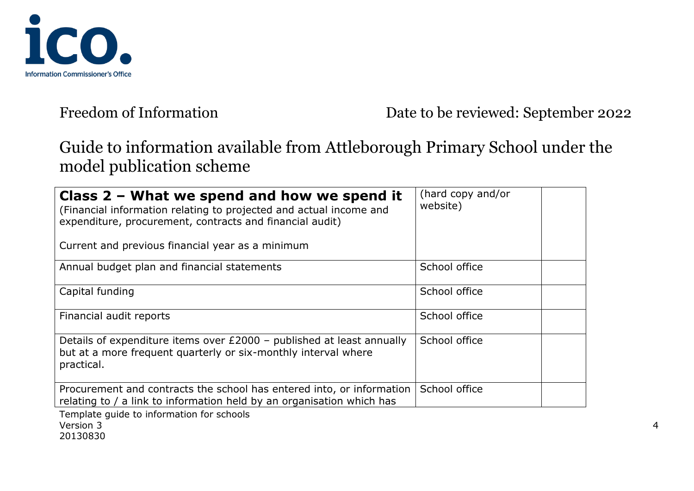

# Guide to information available from Attleborough Primary School under the model publication scheme

| Class $2$ – What we spend and how we spend it<br>(Financial information relating to projected and actual income and<br>expenditure, procurement, contracts and financial audit)<br>Current and previous financial year as a minimum | (hard copy and/or<br>website) |
|-------------------------------------------------------------------------------------------------------------------------------------------------------------------------------------------------------------------------------------|-------------------------------|
| Annual budget plan and financial statements                                                                                                                                                                                         | School office                 |
| Capital funding                                                                                                                                                                                                                     | School office                 |
| Financial audit reports                                                                                                                                                                                                             | School office                 |
| Details of expenditure items over £2000 - published at least annually<br>but at a more frequent quarterly or six-monthly interval where<br>practical.                                                                               | School office                 |
| Procurement and contracts the school has entered into, or information<br>relating to / a link to information held by an organisation which has                                                                                      | School office                 |
| Template quide to information for schools                                                                                                                                                                                           |                               |

Version 3 4 20130830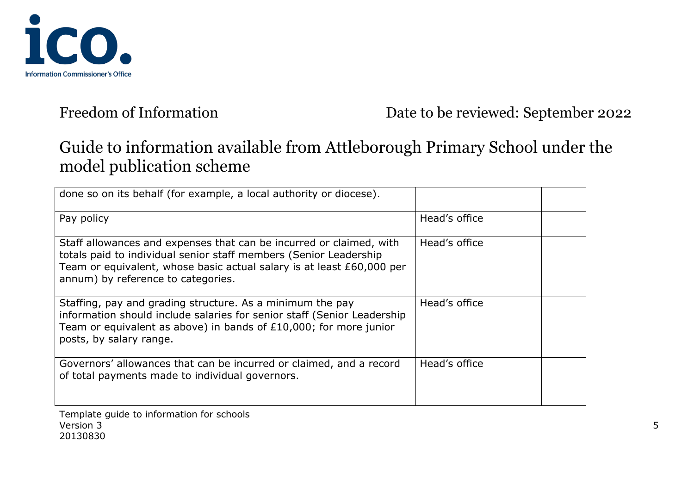

# Guide to information available from Attleborough Primary School under the model publication scheme

| done so on its behalf (for example, a local authority or diocese).                                                                                                                                                                                      |               |
|---------------------------------------------------------------------------------------------------------------------------------------------------------------------------------------------------------------------------------------------------------|---------------|
| Pay policy                                                                                                                                                                                                                                              | Head's office |
| Staff allowances and expenses that can be incurred or claimed, with<br>totals paid to individual senior staff members (Senior Leadership<br>Team or equivalent, whose basic actual salary is at least £60,000 per<br>annum) by reference to categories. | Head's office |
| Staffing, pay and grading structure. As a minimum the pay<br>information should include salaries for senior staff (Senior Leadership<br>Team or equivalent as above) in bands of £10,000; for more junior<br>posts, by salary range.                    | Head's office |
| Governors' allowances that can be incurred or claimed, and a record<br>of total payments made to individual governors.                                                                                                                                  | Head's office |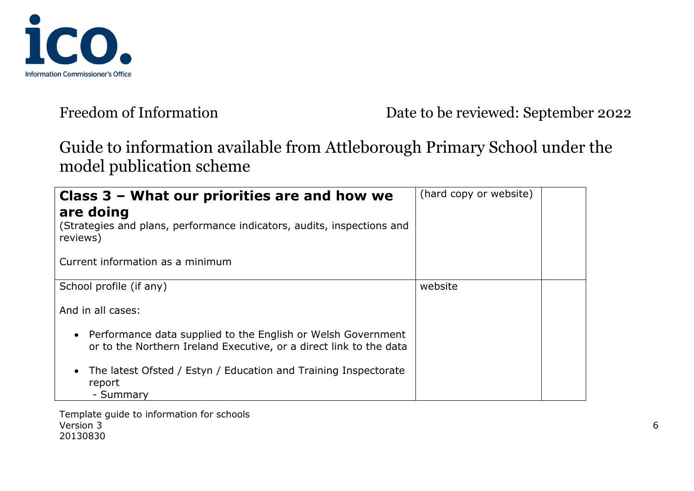

# Guide to information available from Attleborough Primary School under the model publication scheme

| Class 3 - What our priorities are and how we<br>are doing<br>(Strategies and plans, performance indicators, audits, inspections and<br>reviews)<br>Current information as a minimum | (hard copy or website) |  |
|-------------------------------------------------------------------------------------------------------------------------------------------------------------------------------------|------------------------|--|
| School profile (if any)                                                                                                                                                             | website                |  |
| And in all cases:                                                                                                                                                                   |                        |  |
| • Performance data supplied to the English or Welsh Government<br>or to the Northern Ireland Executive, or a direct link to the data                                                |                        |  |
| The latest Ofsted / Estyn / Education and Training Inspectorate<br>report<br>- Summary                                                                                              |                        |  |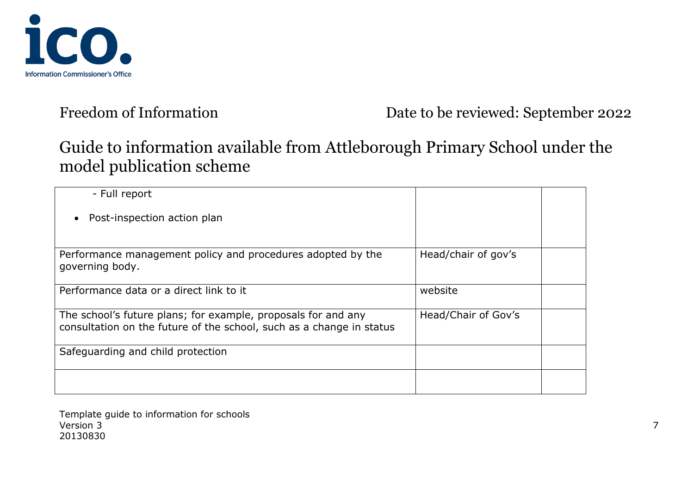

# Guide to information available from Attleborough Primary School under the model publication scheme

| - Full report                                                                                                                         |                     |  |
|---------------------------------------------------------------------------------------------------------------------------------------|---------------------|--|
| Post-inspection action plan                                                                                                           |                     |  |
| Performance management policy and procedures adopted by the<br>governing body.                                                        | Head/chair of gov's |  |
| Performance data or a direct link to it                                                                                               | website             |  |
| The school's future plans; for example, proposals for and any<br>consultation on the future of the school, such as a change in status | Head/Chair of Gov's |  |
| Safeguarding and child protection                                                                                                     |                     |  |
|                                                                                                                                       |                     |  |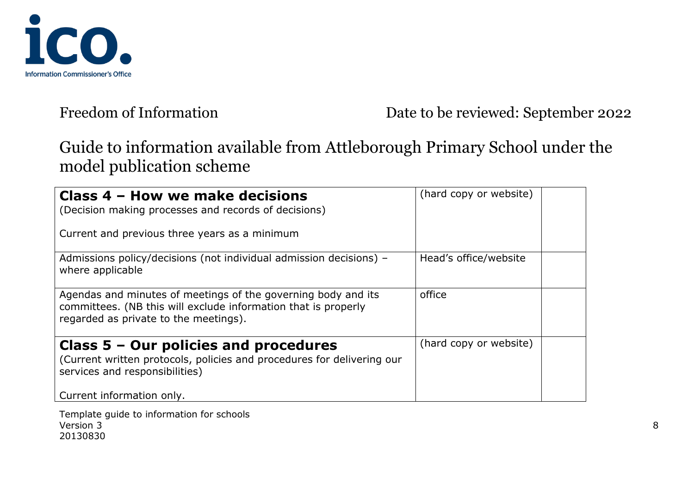

## Guide to information available from Attleborough Primary School under the model publication scheme

| Class 4 - How we make decisions<br>(Decision making processes and records of decisions)<br>Current and previous three years as a minimum                                 | (hard copy or website) |  |
|--------------------------------------------------------------------------------------------------------------------------------------------------------------------------|------------------------|--|
|                                                                                                                                                                          |                        |  |
| Admissions policy/decisions (not individual admission decisions) -<br>where applicable                                                                                   | Head's office/website  |  |
| Agendas and minutes of meetings of the governing body and its<br>committees. (NB this will exclude information that is properly<br>regarded as private to the meetings). | office                 |  |
| Class $5 -$ Our policies and procedures                                                                                                                                  | (hard copy or website) |  |
| (Current written protocols, policies and procedures for delivering our                                                                                                   |                        |  |
| services and responsibilities)                                                                                                                                           |                        |  |
| Current information only.                                                                                                                                                |                        |  |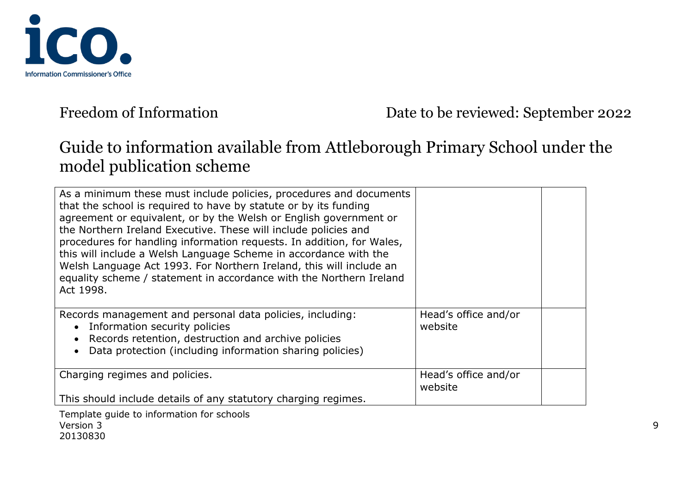

# Guide to information available from Attleborough Primary School under the model publication scheme

| As a minimum these must include policies, procedures and documents<br>that the school is required to have by statute or by its funding<br>agreement or equivalent, or by the Welsh or English government or<br>the Northern Ireland Executive. These will include policies and<br>procedures for handling information requests. In addition, for Wales,<br>this will include a Welsh Language Scheme in accordance with the<br>Welsh Language Act 1993. For Northern Ireland, this will include an<br>equality scheme / statement in accordance with the Northern Ireland<br>Act 1998. |                                 |  |
|----------------------------------------------------------------------------------------------------------------------------------------------------------------------------------------------------------------------------------------------------------------------------------------------------------------------------------------------------------------------------------------------------------------------------------------------------------------------------------------------------------------------------------------------------------------------------------------|---------------------------------|--|
| Records management and personal data policies, including:<br>Information security policies<br>Records retention, destruction and archive policies<br>Data protection (including information sharing policies)                                                                                                                                                                                                                                                                                                                                                                          | Head's office and/or<br>website |  |
| Charging regimes and policies.                                                                                                                                                                                                                                                                                                                                                                                                                                                                                                                                                         | Head's office and/or<br>website |  |
| This should include details of any statutory charging regimes.                                                                                                                                                                                                                                                                                                                                                                                                                                                                                                                         |                                 |  |
| Template quide to information for schools                                                                                                                                                                                                                                                                                                                                                                                                                                                                                                                                              |                                 |  |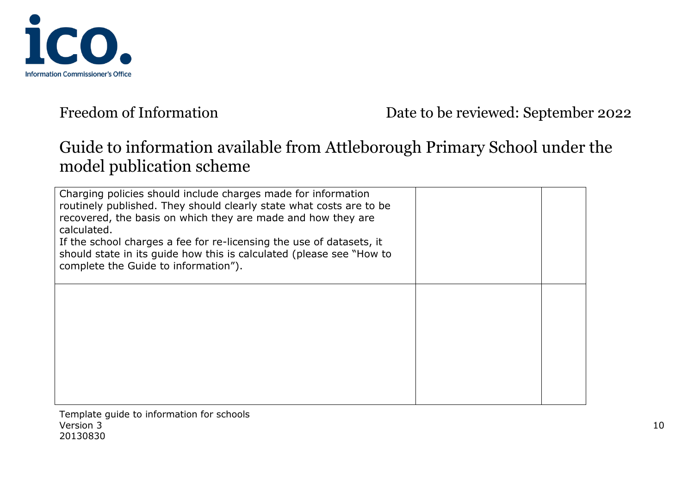

# Guide to information available from Attleborough Primary School under the model publication scheme

| Charging policies should include charges made for information<br>routinely published. They should clearly state what costs are to be<br>recovered, the basis on which they are made and how they are<br>calculated.<br>If the school charges a fee for re-licensing the use of datasets, it<br>should state in its guide how this is calculated (please see "How to<br>complete the Guide to information"). |  |
|-------------------------------------------------------------------------------------------------------------------------------------------------------------------------------------------------------------------------------------------------------------------------------------------------------------------------------------------------------------------------------------------------------------|--|
|                                                                                                                                                                                                                                                                                                                                                                                                             |  |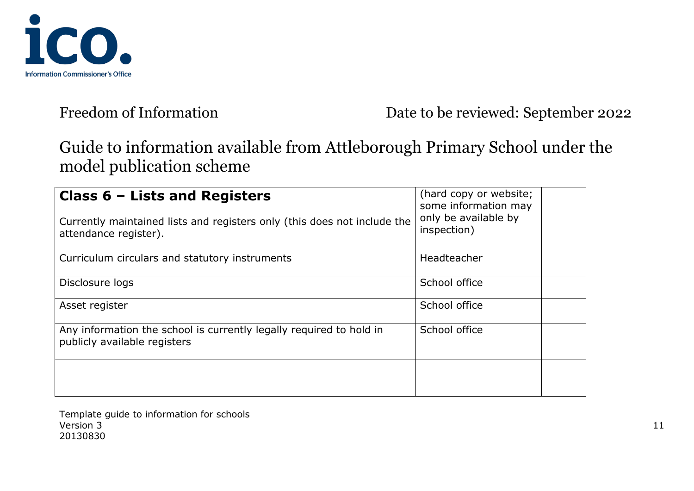

# Guide to information available from Attleborough Primary School under the model publication scheme

| Class $6$ – Lists and Registers<br>Currently maintained lists and registers only (this does not include the<br>attendance register). | (hard copy or website;<br>some information may<br>only be available by<br>inspection) |  |
|--------------------------------------------------------------------------------------------------------------------------------------|---------------------------------------------------------------------------------------|--|
| Curriculum circulars and statutory instruments                                                                                       | <b>Headteacher</b>                                                                    |  |
| Disclosure logs                                                                                                                      | School office                                                                         |  |
| Asset register                                                                                                                       | School office                                                                         |  |
| Any information the school is currently legally required to hold in<br>publicly available registers                                  | School office                                                                         |  |
|                                                                                                                                      |                                                                                       |  |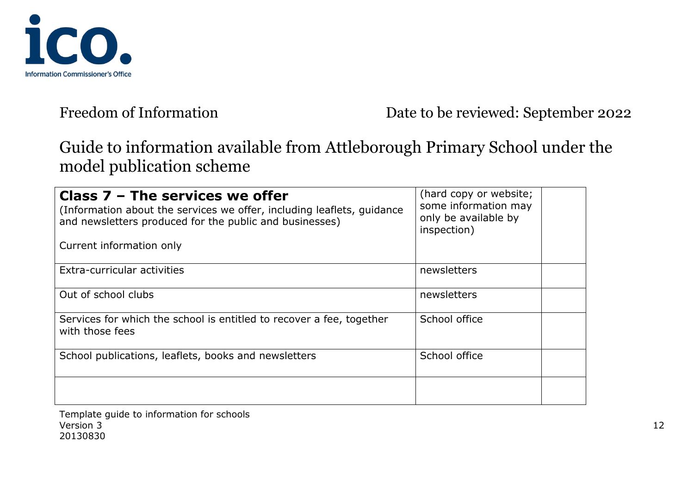

# Guide to information available from Attleborough Primary School under the model publication scheme

| Class $7$ – The services we offer<br>(Information about the services we offer, including leaflets, quidance<br>and newsletters produced for the public and businesses)<br>Current information only | (hard copy or website;<br>some information may<br>only be available by<br>inspection) |
|----------------------------------------------------------------------------------------------------------------------------------------------------------------------------------------------------|---------------------------------------------------------------------------------------|
| Extra-curricular activities                                                                                                                                                                        | newsletters                                                                           |
| Out of school clubs                                                                                                                                                                                | newsletters                                                                           |
| Services for which the school is entitled to recover a fee, together<br>with those fees                                                                                                            | School office                                                                         |
| School publications, leaflets, books and newsletters                                                                                                                                               | School office                                                                         |
|                                                                                                                                                                                                    |                                                                                       |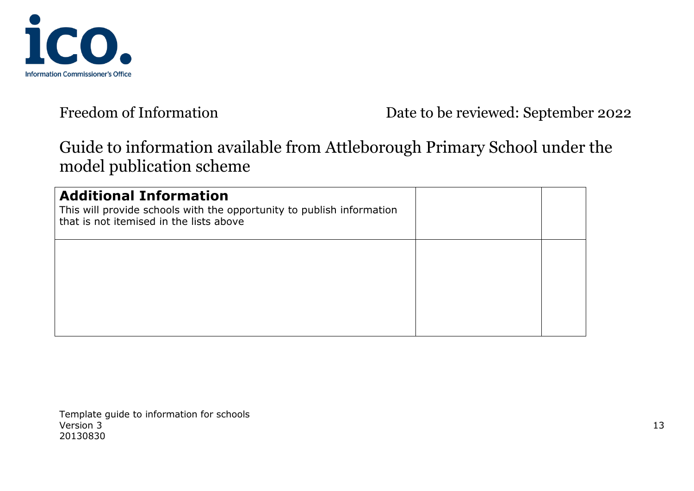

# Guide to information available from Attleborough Primary School under the model publication scheme

| <b>Additional Information</b><br>This will provide schools with the opportunity to publish information<br>that is not itemised in the lists above |  |
|---------------------------------------------------------------------------------------------------------------------------------------------------|--|
|                                                                                                                                                   |  |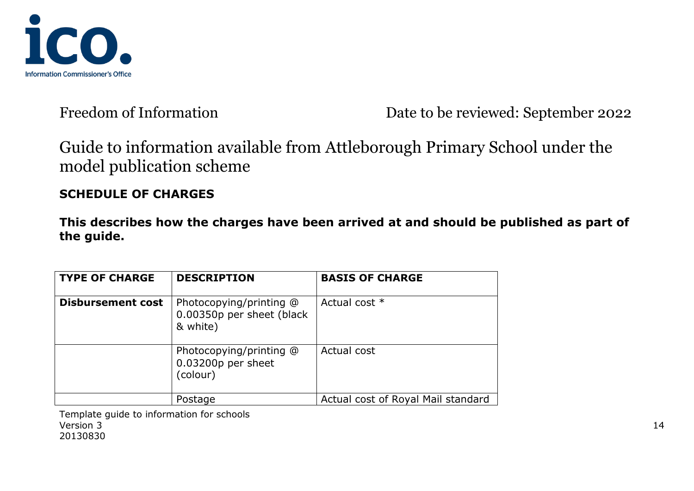

Guide to information available from Attleborough Primary School under the model publication scheme

### **SCHEDULE OF CHARGES**

**This describes how the charges have been arrived at and should be published as part of the guide.**

| <b>TYPE OF CHARGE</b>    | <b>DESCRIPTION</b>                                               | <b>BASIS OF CHARGE</b>             |
|--------------------------|------------------------------------------------------------------|------------------------------------|
| <b>Disbursement cost</b> | Photocopying/printing @<br>0.00350p per sheet (black<br>& white) | Actual cost *                      |
|                          | Photocopying/printing @<br>0.03200p per sheet<br>(colour)        | Actual cost                        |
|                          | Postage                                                          | Actual cost of Royal Mail standard |